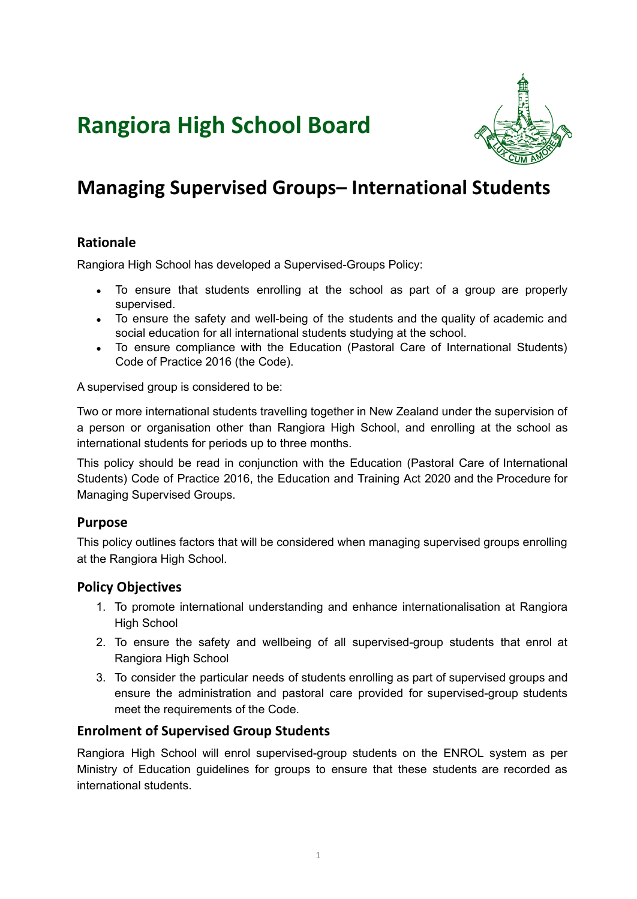# **Rangiora High School Board**



## **Managing Supervised Groups– International Students**

## **Rationale**

Rangiora High School has developed a Supervised-Groups Policy:

- To ensure that students enrolling at the school as part of a group are properly supervised.
- To ensure the safety and well-being of the students and the quality of academic and social education for all international students studying at the school.
- To ensure compliance with the Education (Pastoral Care of International Students) Code of Practice 2016 (the Code).

A supervised group is considered to be:

Two or more international students travelling together in New Zealand under the supervision of a person or organisation other than Rangiora High School, and enrolling at the school as international students for periods up to three months.

This policy should be read in conjunction with the Education (Pastoral Care of International Students) Code of Practice 2016, the Education and Training Act 2020 and the Procedure for Managing Supervised Groups.

## **Purpose**

This policy outlines factors that will be considered when managing supervised groups enrolling at the Rangiora High School.

## **Policy Objectives**

- 1. To promote international understanding and enhance internationalisation at Rangiora High School
- 2. To ensure the safety and wellbeing of all supervised-group students that enrol at Rangiora High School
- 3. To consider the particular needs of students enrolling as part of supervised groups and ensure the administration and pastoral care provided for supervised-group students meet the requirements of the Code.

## **Enrolment of Supervised Group Students**

Rangiora High School will enrol supervised-group students on the ENROL system as per Ministry of Education guidelines for groups to ensure that these students are recorded as international students.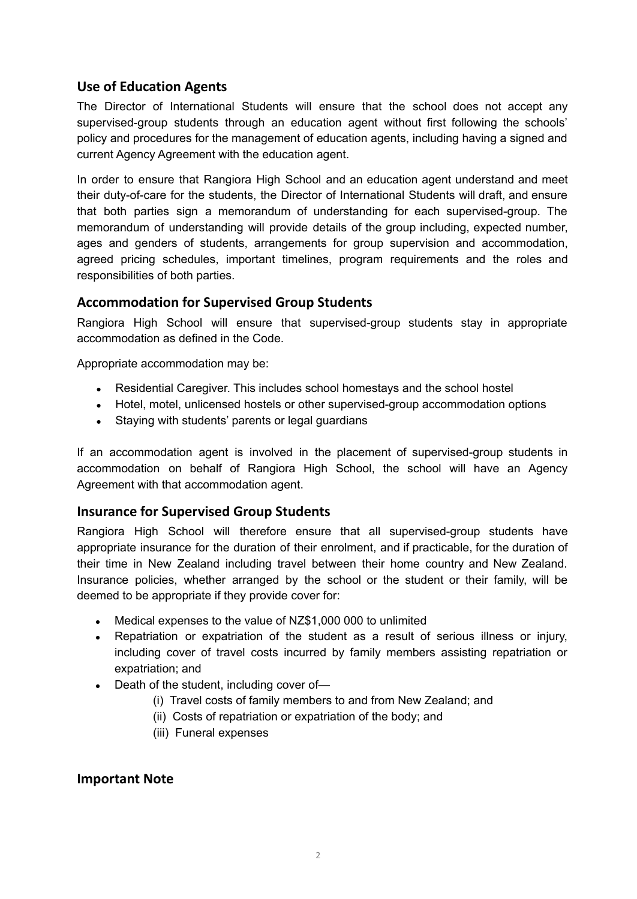## **Use of Education Agents**

The Director of International Students will ensure that the school does not accept any supervised-group students through an education agent without first following the schools' policy and procedures for the management of education agents, including having a signed and current Agency Agreement with the education agent.

In order to ensure that Rangiora High School and an education agent understand and meet their duty-of-care for the students, the Director of International Students will draft, and ensure that both parties sign a memorandum of understanding for each supervised-group. The memorandum of understanding will provide details of the group including, expected number, ages and genders of students, arrangements for group supervision and accommodation, agreed pricing schedules, important timelines, program requirements and the roles and responsibilities of both parties.

## **Accommodation for Supervised Group Students**

Rangiora High School will ensure that supervised-group students stay in appropriate accommodation as defined in the Code.

Appropriate accommodation may be:

- Residential Caregiver. This includes school homestays and the school hostel
- Hotel, motel, unlicensed hostels or other supervised-group accommodation options
- Staying with students' parents or legal guardians

If an accommodation agent is involved in the placement of supervised-group students in accommodation on behalf of Rangiora High School, the school will have an Agency Agreement with that accommodation agent.

#### **Insurance for Supervised Group Students**

Rangiora High School will therefore ensure that all supervised-group students have appropriate insurance for the duration of their enrolment, and if practicable, for the duration of their time in New Zealand including travel between their home country and New Zealand. Insurance policies, whether arranged by the school or the student or their family, will be deemed to be appropriate if they provide cover for:

- Medical expenses to the value of NZ\$1,000 000 to unlimited
- Repatriation or expatriation of the student as a result of serious illness or injury, including cover of travel costs incurred by family members assisting repatriation or expatriation; and
- $\bullet$  Death of the student, including cover of-
	- (i) Travel costs of family members to and from New Zealand; and
	- (ii) Costs of repatriation or expatriation of the body; and
	- (iii) Funeral expenses

#### **Important Note**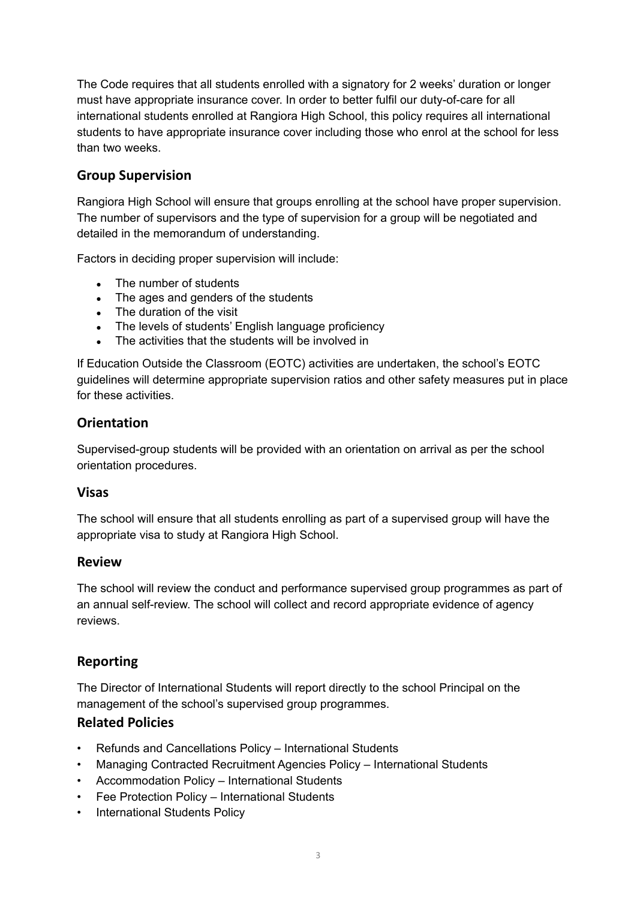The Code requires that all students enrolled with a signatory for 2 weeks' duration or longer must have appropriate insurance cover. In order to better fulfil our duty-of-care for all international students enrolled at Rangiora High School, this policy requires all international students to have appropriate insurance cover including those who enrol at the school for less than two weeks.

## **Group Supervision**

Rangiora High School will ensure that groups enrolling at the school have proper supervision. The number of supervisors and the type of supervision for a group will be negotiated and detailed in the memorandum of understanding.

Factors in deciding proper supervision will include:

- The number of students
- The ages and genders of the students
- The duration of the visit
- The levels of students' English language proficiency
- The activities that the students will be involved in

If Education Outside the Classroom (EOTC) activities are undertaken, the school's EOTC guidelines will determine appropriate supervision ratios and other safety measures put in place for these activities.

## **Orientation**

Supervised-group students will be provided with an orientation on arrival as per the school orientation procedures.

#### **Visas**

The school will ensure that all students enrolling as part of a supervised group will have the appropriate visa to study at Rangiora High School.

#### **Review**

The school will review the conduct and performance supervised group programmes as part of an annual self-review. The school will collect and record appropriate evidence of agency reviews.

## **Reporting**

The Director of International Students will report directly to the school Principal on the management of the school's supervised group programmes.

#### **Related Policies**

- Refunds and Cancellations Policy International Students
- Managing Contracted Recruitment Agencies Policy International Students
- Accommodation Policy International Students
- Fee Protection Policy International Students
- International Students Policy